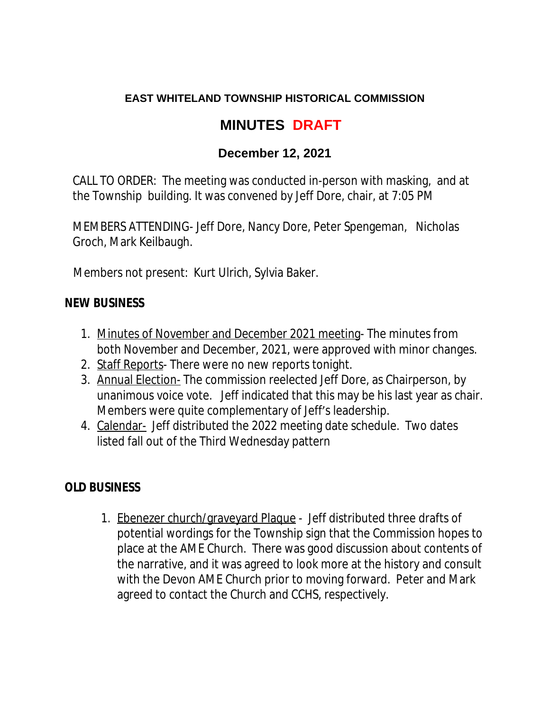### **EAST WHITELAND TOWNSHIP HISTORICAL COMMISSION**

# **MINUTES DRAFT**

## **December 12, 2021**

CALL TO ORDER: The meeting was conducted in-person with masking, and at the Township building. It was convened by Jeff Dore, chair, at 7:05 PM

MEMBERS ATTENDING- Jeff Dore, Nancy Dore, Peter Spengeman, Nicholas Groch, Mark Keilbaugh.

Members not present: Kurt Ulrich, Sylvia Baker.

#### **NEW BUSINESS**

- 1. Minutes of November and December 2021 meeting- The minutes from both November and December, 2021, were approved with minor changes.
- 2. Staff Reports- There were no new reports tonight.
- 3. Annual Election- The commission reelected Jeff Dore, as Chairperson, by unanimous voice vote. Jeff indicated that this may be his last year as chair. Members were quite complementary of Jeff's leadership.
- 4. Calendar- Jeff distributed the 2022 meeting date schedule. Two dates listed fall out of the Third Wednesday pattern

## **OLD BUSINESS**

1. Ebenezer church/graveyard Plaque - Jeff distributed three drafts of potential wordings for the Township sign that the Commission hopes to place at the AME Church. There was good discussion about contents of the narrative, and it was agreed to look more at the history and consult with the Devon AME Church prior to moving forward. Peter and Mark agreed to contact the Church and CCHS, respectively.